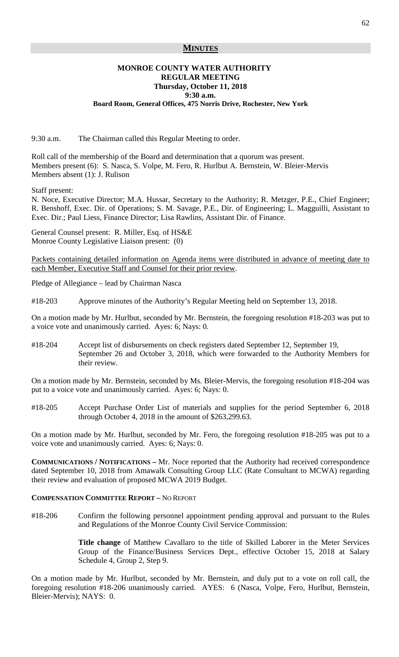## **MINUTES**

## **MONROE COUNTY WATER AUTHORITY REGULAR MEETING Thursday, October 11, 2018 9:30 a.m.**

#### **Board Room, General Offices, 475 Norris Drive, Rochester, New York**

9:30 a.m. The Chairman called this Regular Meeting to order.

Roll call of the membership of the Board and determination that a quorum was present. Members present (6): S. Nasca, S. Volpe, M. Fero, R. Hurlbut A. Bernstein, W. Bleier-Mervis Members absent (1): J. Rulison

Staff present:

N. Noce, Executive Director; M.A. Hussar, Secretary to the Authority; R. Metzger, P.E., Chief Engineer; R. Benshoff, Exec. Dir. of Operations; S. M. Savage, P.E., Dir. of Engineering; L. Magguilli, Assistant to Exec. Dir.; Paul Liess, Finance Director; Lisa Rawlins, Assistant Dir. of Finance.

General Counsel present: R. Miller, Esq. of HS&E Monroe County Legislative Liaison present: (0)

Packets containing detailed information on Agenda items were distributed in advance of meeting date to each Member, Executive Staff and Counsel for their prior review.

Pledge of Allegiance – lead by Chairman Nasca

#18-203 Approve minutes of the Authority's Regular Meeting held on September 13, 2018.

On a motion made by Mr. Hurlbut, seconded by Mr. Bernstein, the foregoing resolution #18-203 was put to a voice vote and unanimously carried. Ayes: 6; Nays: 0.

#18-204 Accept list of disbursements on check registers dated September 12, September 19, September 26 and October 3, 2018, which were forwarded to the Authority Members for their review.

On a motion made by Mr. Bernstein, seconded by Ms. Bleier-Mervis, the foregoing resolution #18-204 was put to a voice vote and unanimously carried. Ayes: 6; Nays: 0.

#18-205 Accept Purchase Order List of materials and supplies for the period September 6, 2018 through October 4, 2018 in the amount of \$263,299.63.

On a motion made by Mr. Hurlbut, seconded by Mr. Fero, the foregoing resolution #18-205 was put to a voice vote and unanimously carried. Ayes: 6; Nays: 0.

**COMMUNICATIONS / NOTIFICATIONS –** Mr. Noce reported that the Authority had received correspondence dated September 10, 2018 from Amawalk Consulting Group LLC (Rate Consultant to MCWA) regarding their review and evaluation of proposed MCWA 2019 Budget.

## **COMPENSATION COMMITTEE REPORT –** NO REPORT

#18-206 Confirm the following personnel appointment pending approval and pursuant to the Rules and Regulations of the Monroe County Civil Service Commission:

> **Title change** of Matthew Cavallaro to the title of Skilled Laborer in the Meter Services Group of the Finance/Business Services Dept., effective October 15, 2018 at Salary Schedule 4, Group 2, Step 9.

On a motion made by Mr. Hurlbut, seconded by Mr. Bernstein, and duly put to a vote on roll call, the foregoing resolution #18-206 unanimously carried. AYES: 6 (Nasca, Volpe, Fero, Hurlbut, Bernstein, Bleier-Mervis); NAYS: 0.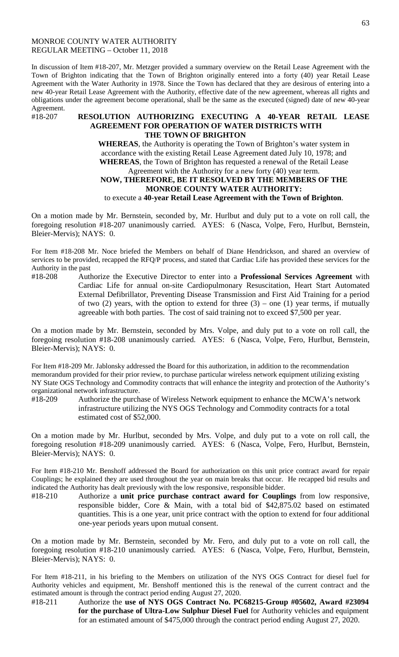### MONROE COUNTY WATER AUTHORITY REGULAR MEETING – October 11, 2018

In discussion of Item #18-207, Mr. Metzger provided a summary overview on the Retail Lease Agreement with the Town of Brighton indicating that the Town of Brighton originally entered into a forty (40) year Retail Lease Agreement with the Water Authority in 1978. Since the Town has declared that they are desirous of entering into a new 40-year Retail Lease Agreement with the Authority, effective date of the new agreement, whereas all rights and obligations under the agreement become operational, shall be the same as the executed (signed) date of new 40-year

Agreement.<br>#18-207

## #18-207 **RESOLUTION AUTHORIZING EXECUTING A 40-YEAR RETAIL LEASE AGREEMENT FOR OPERATION OF WATER DISTRICTS WITH THE TOWN OF BRIGHTON**

**WHEREAS**, the Authority is operating the Town of Brighton's water system in accordance with the existing Retail Lease Agreement dated July 10, 1978; and **WHEREAS**, the Town of Brighton has requested a renewal of the Retail Lease Agreement with the Authority for a new forty (40) year term. **NOW, THEREFORE, BE IT RESOLVED BY THE MEMBERS OF THE MONROE COUNTY WATER AUTHORITY:** to execute a **40-year Retail Lease Agreement with the Town of Brighton**.

On a motion made by Mr. Bernstein, seconded by, Mr. Hurlbut and duly put to a vote on roll call, the foregoing resolution #18-207 unanimously carried. AYES: 6 (Nasca, Volpe, Fero, Hurlbut, Bernstein, Bleier-Mervis); NAYS: 0.

For Item #18-208 Mr. Noce briefed the Members on behalf of Diane Hendrickson, and shared an overview of services to be provided, recapped the RFQ/P process, and stated that Cardiac Life has provided these services for the Authority in the past

#18-208 Authorize the Executive Director to enter into a **Professional Services Agreement** with Cardiac Life for annual on-site Cardiopulmonary Resuscitation, Heart Start Automated External Defibrillator, Preventing Disease Transmission and First Aid Training for a period of two  $(2)$  years, with the option to extend for three  $(3)$  – one  $(1)$  year terms, if mutually agreeable with both parties. The cost of said training not to exceed \$7,500 per year.

On a motion made by Mr. Bernstein, seconded by Mrs. Volpe, and duly put to a vote on roll call, the foregoing resolution #18-208 unanimously carried. AYES: 6 (Nasca, Volpe, Fero, Hurlbut, Bernstein, Bleier-Mervis); NAYS: 0.

For Item #18-209 Mr. Jablonsky addressed the Board for this authorization, in addition to the recommendation memorandum provided for their prior review, to purchase particular wireless network equipment utilizing existing NY State OGS Technology and Commodity contracts that will enhance the integrity and protection of the Authority's organizational network infrastructure.

#18-209 Authorize the purchase of Wireless Network equipment to enhance the MCWA's network infrastructure utilizing the NYS OGS Technology and Commodity contracts for a total estimated cost of \$52,000.

On a motion made by Mr. Hurlbut, seconded by Mrs. Volpe, and duly put to a vote on roll call, the foregoing resolution #18-209 unanimously carried. AYES: 6 (Nasca, Volpe, Fero, Hurlbut, Bernstein, Bleier-Mervis); NAYS: 0.

For Item #18-210 Mr. Benshoff addressed the Board for authorization on this unit price contract award for repair Couplings; he explained they are used throughout the year on main breaks that occur. He recapped bid results and indicated the Authority has dealt previously with the low responsive, responsible bidder.

#18-210 Authorize a **unit price purchase contract award for Couplings** from low responsive, responsible bidder, Core & Main, with a total bid of \$42,875.02 based on estimated quantities. This is a one year, unit price contract with the option to extend for four additional one-year periods years upon mutual consent.

On a motion made by Mr. Bernstein, seconded by Mr. Fero, and duly put to a vote on roll call, the foregoing resolution #18-210 unanimously carried. AYES: 6 (Nasca, Volpe, Fero, Hurlbut, Bernstein, Bleier-Mervis); NAYS: 0.

For Item #18-211, in his briefing to the Members on utilization of the NYS OGS Contract for diesel fuel for Authority vehicles and equipment, Mr. Benshoff mentioned this is the renewal of the current contract and the estimated amount is through the contract period ending August 27, 2020.

#18-211 Authorize the **use of NYS OGS Contract No. PC68215**-**Group #05602, Award #23094 for the purchase of Ultra-Low Sulphur Diesel Fuel** for Authority vehicles and equipment for an estimated amount of \$475,000 through the contract period ending August 27, 2020.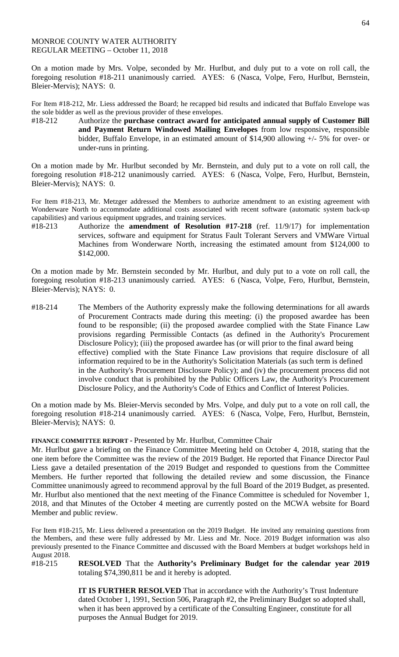## MONROE COUNTY WATER AUTHORITY REGULAR MEETING – October 11, 2018

On a motion made by Mrs. Volpe, seconded by Mr. Hurlbut, and duly put to a vote on roll call, the foregoing resolution #18-211 unanimously carried. AYES: 6 (Nasca, Volpe, Fero, Hurlbut, Bernstein, Bleier-Mervis); NAYS: 0.

For Item #18-212, Mr. Liess addressed the Board; he recapped bid results and indicated that Buffalo Envelope was the sole bidder as well as the previous provider of these envelopes.

#18-212 Authorize the **purchase contract award for anticipated annual supply of Customer Bill and Payment Return Windowed Mailing Envelopes** from low responsive, responsible bidder, Buffalo Envelope, in an estimated amount of \$14,900 allowing +/- 5% for over- or under-runs in printing.

On a motion made by Mr. Hurlbut seconded by Mr. Bernstein, and duly put to a vote on roll call, the foregoing resolution #18-212 unanimously carried. AYES: 6 (Nasca, Volpe, Fero, Hurlbut, Bernstein, Bleier-Mervis); NAYS: 0.

For Item #18-213, Mr. Metzger addressed the Members to authorize amendment to an existing agreement with Wonderware North to accommodate additional costs associated with recent software (automatic system back-up capabilities) and various equipment upgrades, and training services.

#18-213 Authorize the **amendment of Resolution #17-218** (ref. 11/9/17) for implementation services, software and equipment for Stratus Fault Tolerant Servers and VMWare Virtual Machines from Wonderware North, increasing the estimated amount from \$124,000 to \$142,000.

On a motion made by Mr. Bernstein seconded by Mr. Hurlbut, and duly put to a vote on roll call, the foregoing resolution #18-213 unanimously carried. AYES: 6 (Nasca, Volpe, Fero, Hurlbut, Bernstein, Bleier-Mervis); NAYS: 0.

#18-214 The Members of the Authority expressly make the following determinations for all awards of Procurement Contracts made during this meeting: (i) the proposed awardee has been found to be responsible; (ii) the proposed awardee complied with the State Finance Law provisions regarding Permissible Contacts (as defined in the Authority's Procurement Disclosure Policy); (iii) the proposed awardee has (or will prior to the final award being effective) complied with the State Finance Law provisions that require disclosure of all information required to be in the Authority's Solicitation Materials (as such term is defined in the Authority's Procurement Disclosure Policy); and (iv) the procurement process did not involve conduct that is prohibited by the Public Officers Law, the Authority's Procurement Disclosure Policy, and the Authority's Code of Ethics and Conflict of Interest Policies.

On a motion made by Ms. Bleier-Mervis seconded by Mrs. Volpe, and duly put to a vote on roll call, the foregoing resolution #18-214 unanimously carried. AYES: 6 (Nasca, Volpe, Fero, Hurlbut, Bernstein, Bleier-Mervis); NAYS: 0.

## **FINANCE COMMITTEE REPORT -** Presented by Mr. Hurlbut, Committee Chair

Mr. Hurlbut gave a briefing on the Finance Committee Meeting held on October 4, 2018, stating that the one item before the Committee was the review of the 2019 Budget. He reported that Finance Director Paul Liess gave a detailed presentation of the 2019 Budget and responded to questions from the Committee Members. He further reported that following the detailed review and some discussion, the Finance Committee unanimously agreed to recommend approval by the full Board of the 2019 Budget, as presented. Mr. Hurlbut also mentioned that the next meeting of the Finance Committee is scheduled for November 1, 2018, and that Minutes of the October 4 meeting are currently posted on the MCWA website for Board Member and public review.

For Item #18-215, Mr. Liess delivered a presentation on the 2019 Budget. He invited any remaining questions from the Members, and these were fully addressed by Mr. Liess and Mr. Noce. 2019 Budget information was also previously presented to the Finance Committee and discussed with the Board Members at budget workshops held in August 2018.<br>#18-215

#18-215 **RESOLVED** That the **Authority's Preliminary Budget for the calendar year 2019**  totaling \$74,390,811 be and it hereby is adopted.

**IT IS FURTHER RESOLVED** That in accordance with the Authority's Trust Indenture dated October 1, 1991, Section 506, Paragraph #2, the Preliminary Budget so adopted shall, when it has been approved by a certificate of the Consulting Engineer, constitute for all purposes the Annual Budget for 2019.